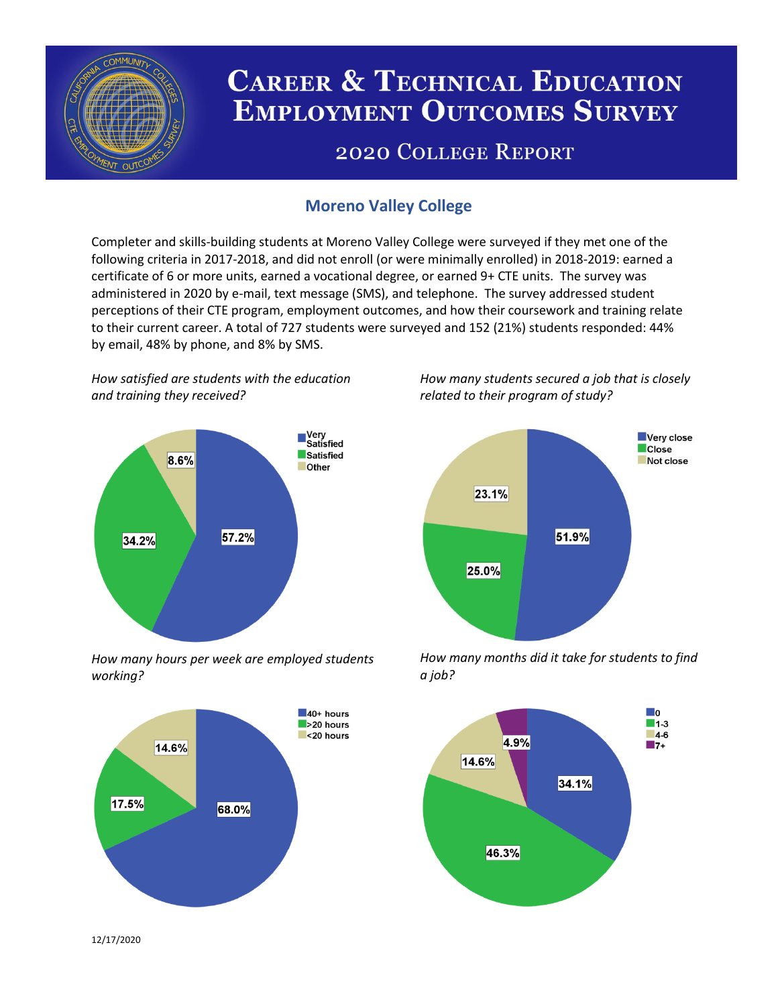

# **CAREER & TECHNICAL EDUCATION EMPLOYMENT OUTCOMES SURVEY**

## **2020 COLLEGE REPORT**

### **Moreno Valley College**

Completer and skills-building students at Moreno Valley College were surveyed if they met one of the following criteria in 2017-2018, and did not enroll (or were minimally enrolled) in 2018-2019: earned a certificate of 6 or more units, earned a vocational degree, or earned 9+ CTE units. The survey was administered in 2020 by e-mail, text message (SMS), and telephone. The survey addressed student perceptions of their CTE program, employment outcomes, and how their coursework and training relate to their current career. A total of 727 students were surveyed and 152 (21%) students responded: 44% by email, 48% by phone, and 8% by SMS.

*How satisfied are students with the education and training they received?*



*How many hours per week are employed students working?*



*How many students secured a job that is closely related to their program of study?*



*How many months did it take for students to find a job?*



12/17/2020